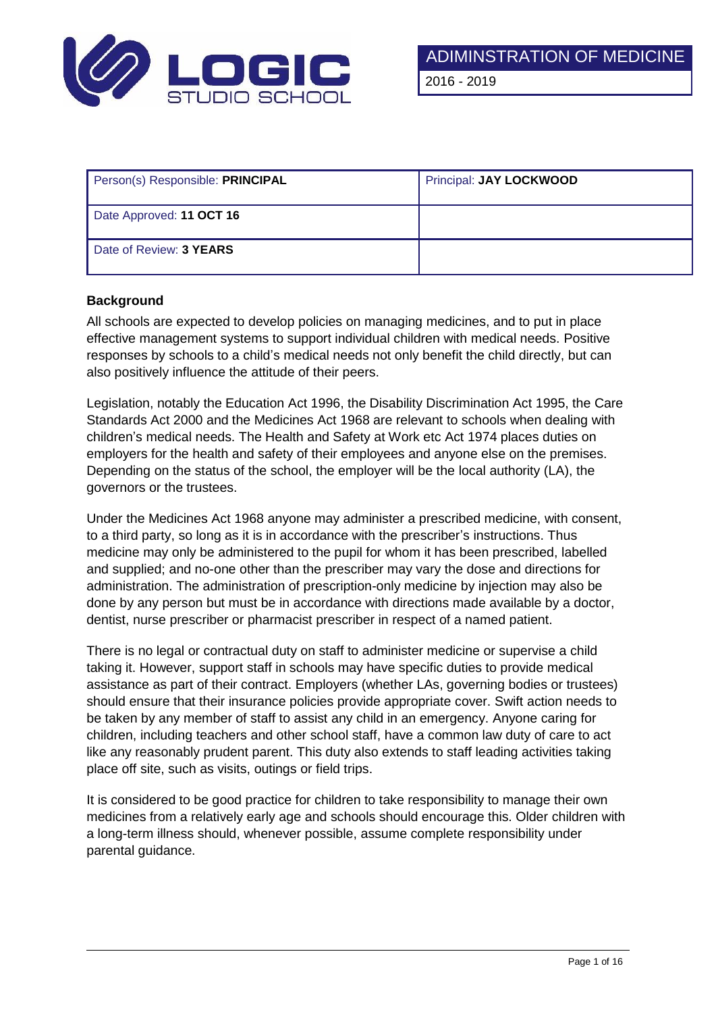

| Person(s) Responsible: PRINCIPAL | Principal: JAY LOCKWOOD |
|----------------------------------|-------------------------|
| Date Approved: 11 OCT 16         |                         |
| Date of Review: 3 YEARS          |                         |

# **Background**

All schools are expected to develop policies on managing medicines, and to put in place effective management systems to support individual children with medical needs. Positive responses by schools to a child's medical needs not only benefit the child directly, but can also positively influence the attitude of their peers.

Legislation, notably the Education Act 1996, the Disability Discrimination Act 1995, the Care Standards Act 2000 and the Medicines Act 1968 are relevant to schools when dealing with children's medical needs. The Health and Safety at Work etc Act 1974 places duties on employers for the health and safety of their employees and anyone else on the premises. Depending on the status of the school, the employer will be the local authority (LA), the governors or the trustees.

Under the Medicines Act 1968 anyone may administer a prescribed medicine, with consent, to a third party, so long as it is in accordance with the prescriber's instructions. Thus medicine may only be administered to the pupil for whom it has been prescribed, labelled and supplied; and no-one other than the prescriber may vary the dose and directions for administration. The administration of prescription-only medicine by injection may also be done by any person but must be in accordance with directions made available by a doctor, dentist, nurse prescriber or pharmacist prescriber in respect of a named patient.

There is no legal or contractual duty on staff to administer medicine or supervise a child taking it. However, support staff in schools may have specific duties to provide medical assistance as part of their contract. Employers (whether LAs, governing bodies or trustees) should ensure that their insurance policies provide appropriate cover. Swift action needs to be taken by any member of staff to assist any child in an emergency. Anyone caring for children, including teachers and other school staff, have a common law duty of care to act like any reasonably prudent parent. This duty also extends to staff leading activities taking place off site, such as visits, outings or field trips.

It is considered to be good practice for children to take responsibility to manage their own medicines from a relatively early age and schools should encourage this. Older children with a long-term illness should, whenever possible, assume complete responsibility under parental guidance.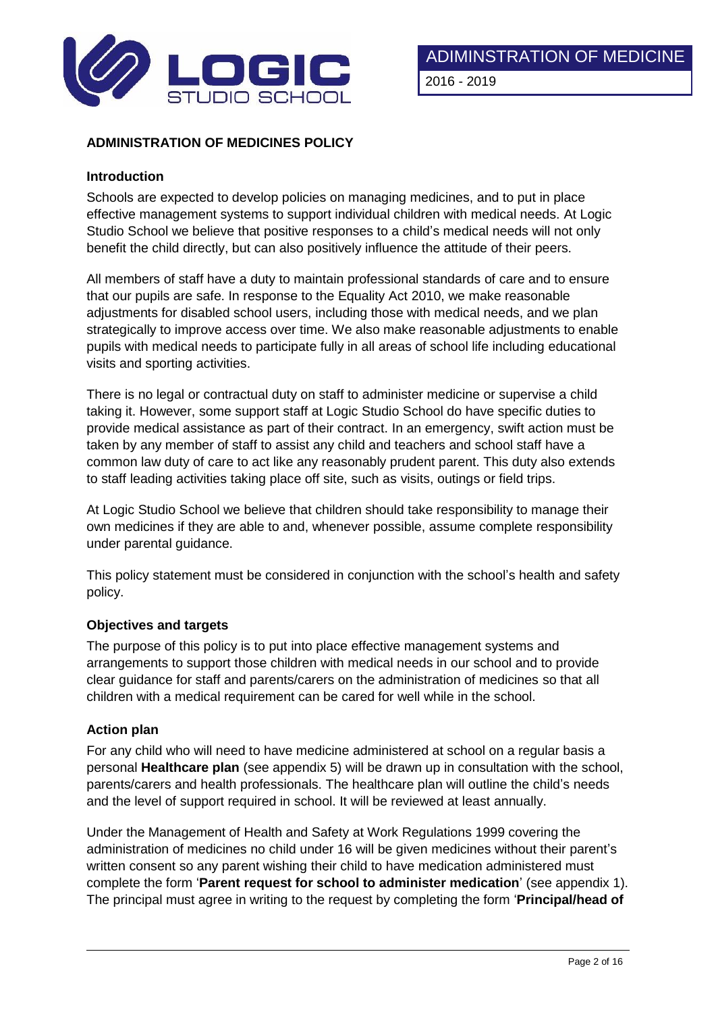

# **ADMINISTRATION OF MEDICINES POLICY**

## **Introduction**

Schools are expected to develop policies on managing medicines, and to put in place effective management systems to support individual children with medical needs. At Logic Studio School we believe that positive responses to a child's medical needs will not only benefit the child directly, but can also positively influence the attitude of their peers.

All members of staff have a duty to maintain professional standards of care and to ensure that our pupils are safe. In response to the Equality Act 2010, we make reasonable adjustments for disabled school users, including those with medical needs, and we plan strategically to improve access over time. We also make reasonable adjustments to enable pupils with medical needs to participate fully in all areas of school life including educational visits and sporting activities.

There is no legal or contractual duty on staff to administer medicine or supervise a child taking it. However, some support staff at Logic Studio School do have specific duties to provide medical assistance as part of their contract. In an emergency, swift action must be taken by any member of staff to assist any child and teachers and school staff have a common law duty of care to act like any reasonably prudent parent. This duty also extends to staff leading activities taking place off site, such as visits, outings or field trips.

At Logic Studio School we believe that children should take responsibility to manage their own medicines if they are able to and, whenever possible, assume complete responsibility under parental guidance.

This policy statement must be considered in conjunction with the school's health and safety policy.

#### **Objectives and targets**

The purpose of this policy is to put into place effective management systems and arrangements to support those children with medical needs in our school and to provide clear guidance for staff and parents/carers on the administration of medicines so that all children with a medical requirement can be cared for well while in the school.

#### **Action plan**

For any child who will need to have medicine administered at school on a regular basis a personal **Healthcare plan** (see appendix 5) will be drawn up in consultation with the school, parents/carers and health professionals. The healthcare plan will outline the child's needs and the level of support required in school. It will be reviewed at least annually.

Under the Management of Health and Safety at Work Regulations 1999 covering the administration of medicines no child under 16 will be given medicines without their parent's written consent so any parent wishing their child to have medication administered must complete the form '**Parent request for school to administer medication**' (see appendix 1). The principal must agree in writing to the request by completing the form '**Principal/head of**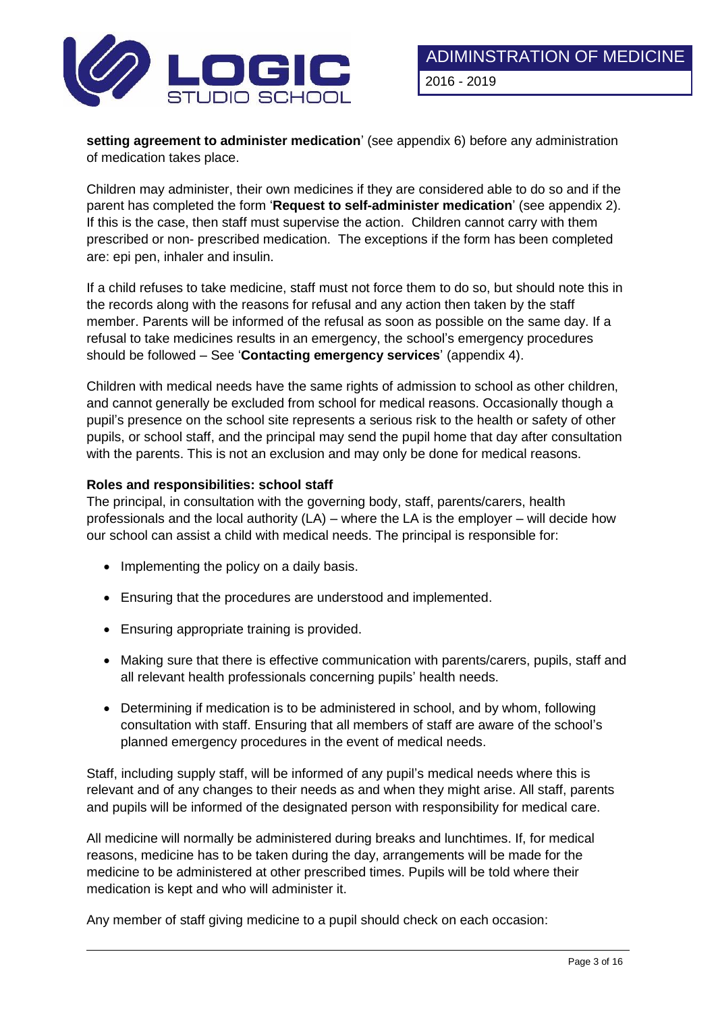

**setting agreement to administer medication**' (see appendix 6) before any administration of medication takes place.

Children may administer, their own medicines if they are considered able to do so and if the parent has completed the form '**Request to self-administer medication**' (see appendix 2). If this is the case, then staff must supervise the action. Children cannot carry with them prescribed or non- prescribed medication. The exceptions if the form has been completed are: epi pen, inhaler and insulin.

If a child refuses to take medicine, staff must not force them to do so, but should note this in the records along with the reasons for refusal and any action then taken by the staff member. Parents will be informed of the refusal as soon as possible on the same day. If a refusal to take medicines results in an emergency, the school's emergency procedures should be followed – See '**Contacting emergency services**' (appendix 4).

Children with medical needs have the same rights of admission to school as other children, and cannot generally be excluded from school for medical reasons. Occasionally though a pupil's presence on the school site represents a serious risk to the health or safety of other pupils, or school staff, and the principal may send the pupil home that day after consultation with the parents. This is not an exclusion and may only be done for medical reasons.

## **Roles and responsibilities: school staff**

The principal, in consultation with the governing body, staff, parents/carers, health professionals and the local authority (LA) – where the LA is the employer – will decide how our school can assist a child with medical needs. The principal is responsible for:

- Implementing the policy on a daily basis.
- Ensuring that the procedures are understood and implemented.
- Ensuring appropriate training is provided.
- Making sure that there is effective communication with parents/carers, pupils, staff and all relevant health professionals concerning pupils' health needs.
- Determining if medication is to be administered in school, and by whom, following consultation with staff. Ensuring that all members of staff are aware of the school's planned emergency procedures in the event of medical needs.

Staff, including supply staff, will be informed of any pupil's medical needs where this is relevant and of any changes to their needs as and when they might arise. All staff, parents and pupils will be informed of the designated person with responsibility for medical care.

All medicine will normally be administered during breaks and lunchtimes. If, for medical reasons, medicine has to be taken during the day, arrangements will be made for the medicine to be administered at other prescribed times. Pupils will be told where their medication is kept and who will administer it.

Any member of staff giving medicine to a pupil should check on each occasion: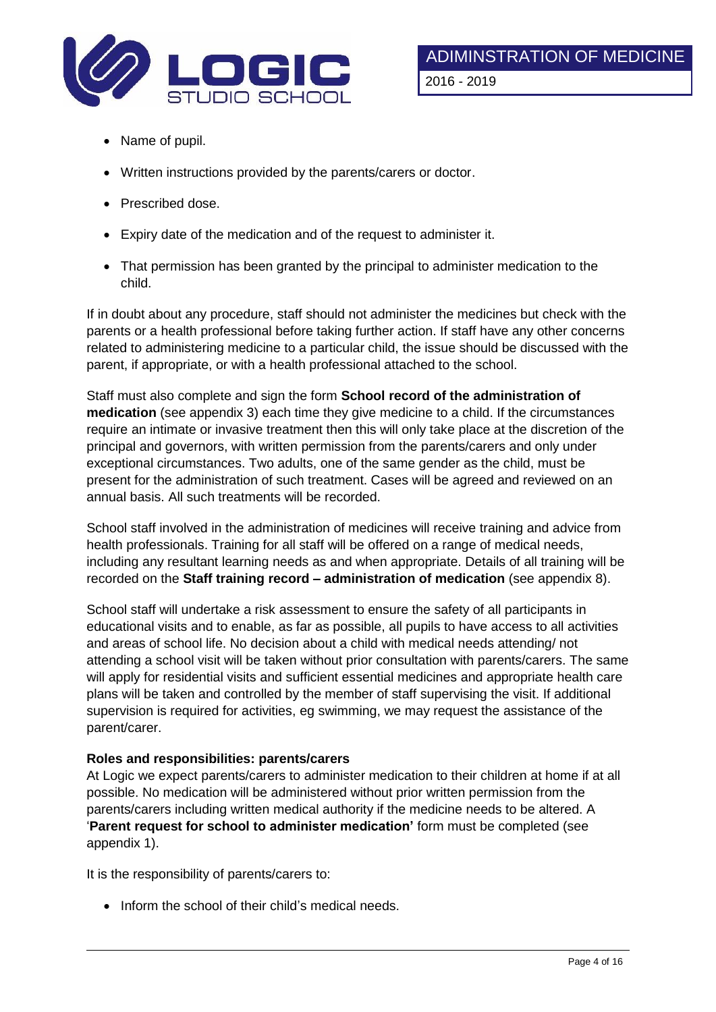

- Name of pupil.
- Written instructions provided by the parents/carers or doctor.
- Prescribed dose.
- Expiry date of the medication and of the request to administer it.
- That permission has been granted by the principal to administer medication to the child.

If in doubt about any procedure, staff should not administer the medicines but check with the parents or a health professional before taking further action. If staff have any other concerns related to administering medicine to a particular child, the issue should be discussed with the parent, if appropriate, or with a health professional attached to the school.

Staff must also complete and sign the form **School record of the administration of medication** (see appendix 3) each time they give medicine to a child. If the circumstances require an intimate or invasive treatment then this will only take place at the discretion of the principal and governors, with written permission from the parents/carers and only under exceptional circumstances. Two adults, one of the same gender as the child, must be present for the administration of such treatment. Cases will be agreed and reviewed on an annual basis. All such treatments will be recorded.

School staff involved in the administration of medicines will receive training and advice from health professionals. Training for all staff will be offered on a range of medical needs, including any resultant learning needs as and when appropriate. Details of all training will be recorded on the **Staff training record – administration of medication** (see appendix 8).

School staff will undertake a risk assessment to ensure the safety of all participants in educational visits and to enable, as far as possible, all pupils to have access to all activities and areas of school life. No decision about a child with medical needs attending/ not attending a school visit will be taken without prior consultation with parents/carers. The same will apply for residential visits and sufficient essential medicines and appropriate health care plans will be taken and controlled by the member of staff supervising the visit. If additional supervision is required for activities, eg swimming, we may request the assistance of the parent/carer.

## **Roles and responsibilities: parents/carers**

At Logic we expect parents/carers to administer medication to their children at home if at all possible. No medication will be administered without prior written permission from the parents/carers including written medical authority if the medicine needs to be altered. A '**Parent request for school to administer medication'** form must be completed (see appendix 1).

It is the responsibility of parents/carers to:

• Inform the school of their child's medical needs.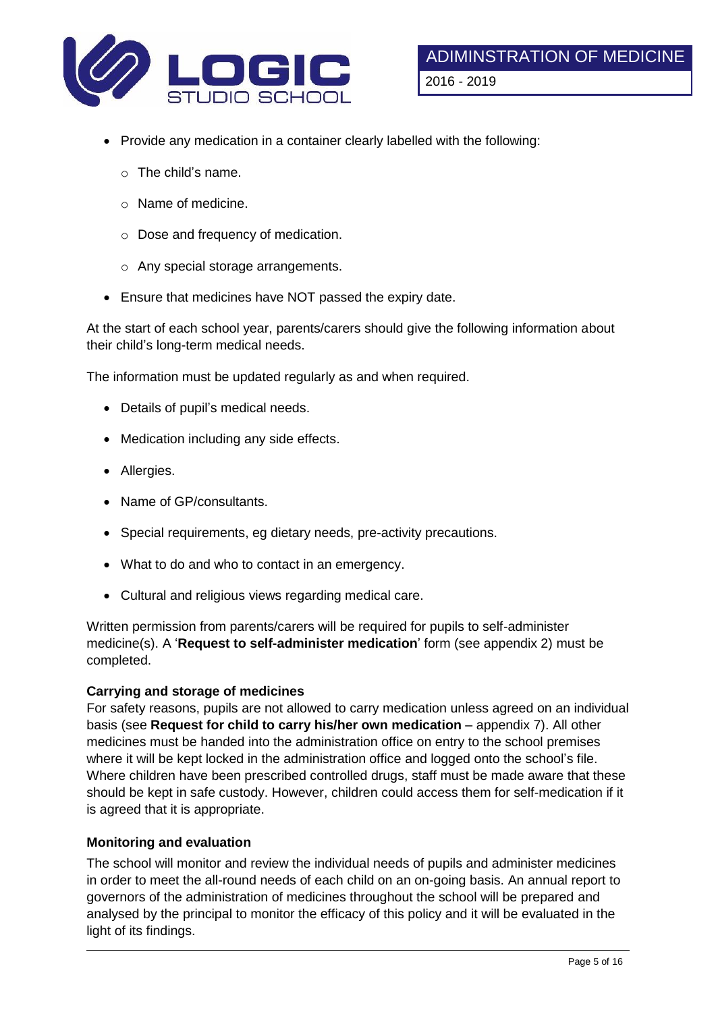

- Provide any medication in a container clearly labelled with the following:
	- o The child's name.
	- o Name of medicine.
	- o Dose and frequency of medication.
	- o Any special storage arrangements.
- Ensure that medicines have NOT passed the expiry date.

At the start of each school year, parents/carers should give the following information about their child's long-term medical needs.

The information must be updated regularly as and when required.

- Details of pupil's medical needs.
- Medication including any side effects.
- Allergies.
- Name of GP/consultants.
- Special requirements, eg dietary needs, pre-activity precautions.
- What to do and who to contact in an emergency.
- Cultural and religious views regarding medical care.

Written permission from parents/carers will be required for pupils to self-administer medicine(s). A '**Request to self-administer medication**' form (see appendix 2) must be completed.

#### **Carrying and storage of medicines**

For safety reasons, pupils are not allowed to carry medication unless agreed on an individual basis (see **Request for child to carry his/her own medication** – appendix 7). All other medicines must be handed into the administration office on entry to the school premises where it will be kept locked in the administration office and logged onto the school's file. Where children have been prescribed controlled drugs, staff must be made aware that these should be kept in safe custody. However, children could access them for self-medication if it is agreed that it is appropriate.

# **Monitoring and evaluation**

The school will monitor and review the individual needs of pupils and administer medicines in order to meet the all-round needs of each child on an on-going basis. An annual report to governors of the administration of medicines throughout the school will be prepared and analysed by the principal to monitor the efficacy of this policy and it will be evaluated in the light of its findings.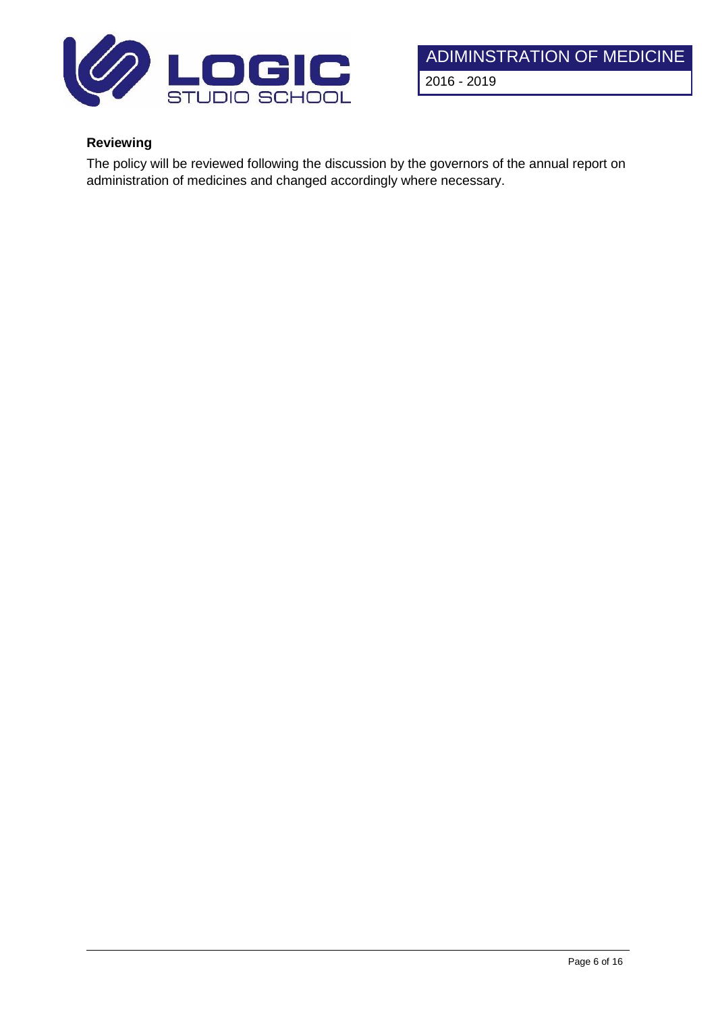

# **Reviewing**

The policy will be reviewed following the discussion by the governors of the annual report on administration of medicines and changed accordingly where necessary.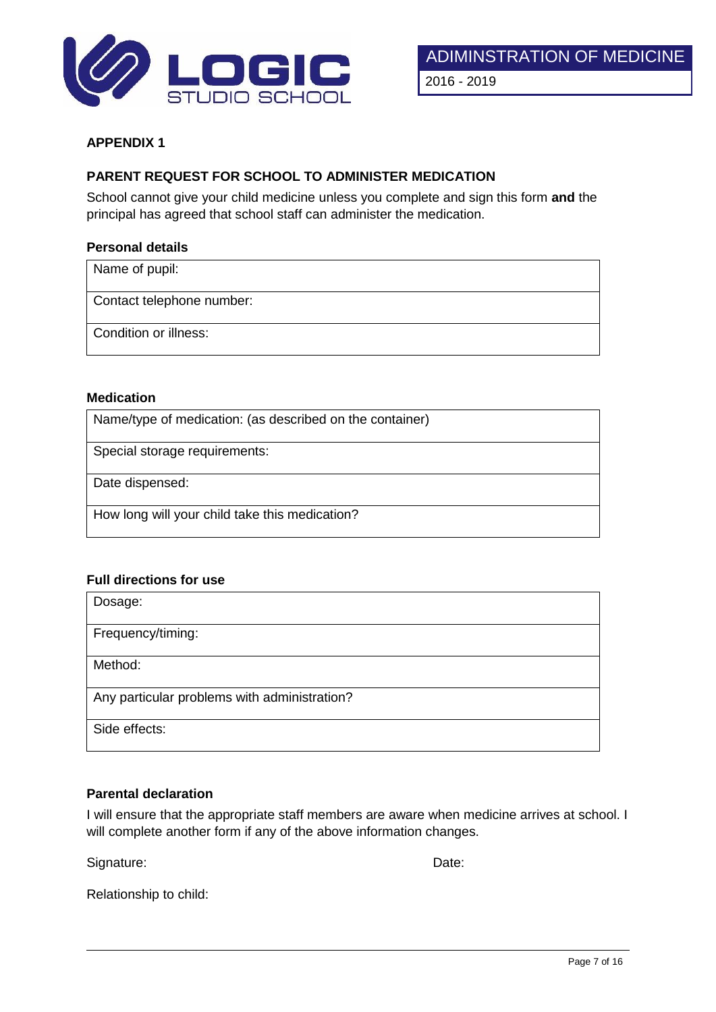

# **PARENT REQUEST FOR SCHOOL TO ADMINISTER MEDICATION**

School cannot give your child medicine unless you complete and sign this form **and** the principal has agreed that school staff can administer the medication.

#### **Personal details**

Name of pupil:

Contact telephone number:

Condition or illness:

#### **Medication**

Name/type of medication: (as described on the container)

Special storage requirements:

Date dispensed:

How long will your child take this medication?

#### **Full directions for use**

| Dosage:                                      |
|----------------------------------------------|
| Frequency/timing:                            |
| Method:                                      |
| Any particular problems with administration? |
| Side effects:                                |

## **Parental declaration**

I will ensure that the appropriate staff members are aware when medicine arrives at school. I will complete another form if any of the above information changes.

Signature: Date: Date: Date: Date: Date: Date: Date: Date: Date: Date: Date: Date: Date: Date: Date: Date: Date: Date: Date: Date: Date: Date: Date: Date: Date: Date: Date: Date: Date: Date: Date: Date: Date: Date: Date: D

Relationship to child: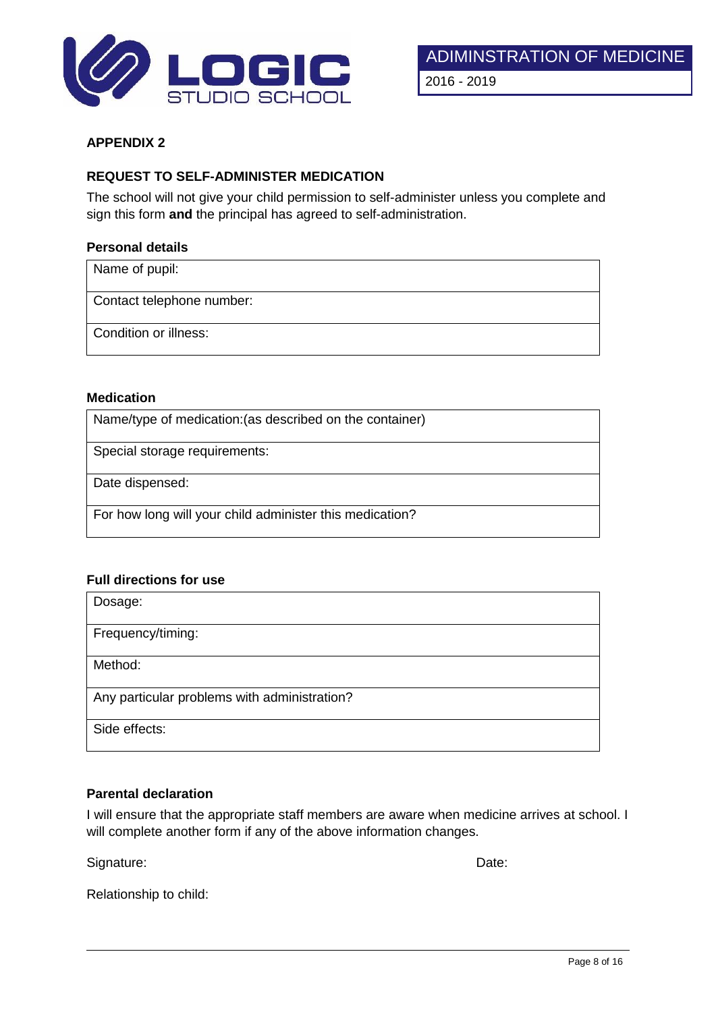

## **REQUEST TO SELF-ADMINISTER MEDICATION**

The school will not give your child permission to self-administer unless you complete and sign this form **and** the principal has agreed to self-administration.

#### **Personal details**

Name of pupil:

Contact telephone number:

Condition or illness:

#### **Medication**

Name/type of medication:(as described on the container)

Special storage requirements:

Date dispensed:

For how long will your child administer this medication?

## **Full directions for use**

| Dosage:                                      |
|----------------------------------------------|
| Frequency/timing:                            |
| Method:                                      |
| Any particular problems with administration? |
| Side effects:                                |

#### **Parental declaration**

I will ensure that the appropriate staff members are aware when medicine arrives at school. I will complete another form if any of the above information changes.

Signature: Date: Date: Date: Date: Date: Date: Date: Date: Date: Date: Date: Date: Date: Date: Date: Date: Date: Date: Date: Date: Date: Date: Date: Date: Date: Date: Date: Date: Date: Date: Date: Date: Date: Date: Date: D

Relationship to child: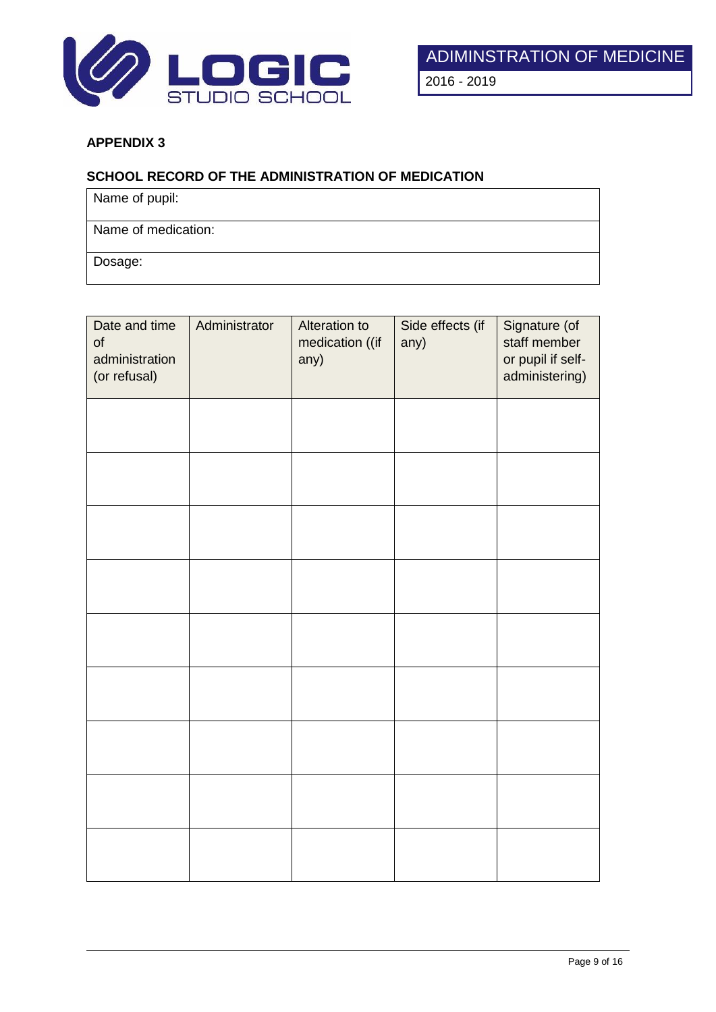

## **SCHOOL RECORD OF THE ADMINISTRATION OF MEDICATION**

Name of pupil:

Name of medication:

Dosage:

| Date and time<br>of<br>administration<br>(or refusal) | Administrator | Alteration to<br>medication ((if<br>any) | Side effects (if<br>any) | Signature (of<br>staff member<br>or pupil if self-<br>administering) |
|-------------------------------------------------------|---------------|------------------------------------------|--------------------------|----------------------------------------------------------------------|
|                                                       |               |                                          |                          |                                                                      |
|                                                       |               |                                          |                          |                                                                      |
|                                                       |               |                                          |                          |                                                                      |
|                                                       |               |                                          |                          |                                                                      |
|                                                       |               |                                          |                          |                                                                      |
|                                                       |               |                                          |                          |                                                                      |
|                                                       |               |                                          |                          |                                                                      |
|                                                       |               |                                          |                          |                                                                      |
|                                                       |               |                                          |                          |                                                                      |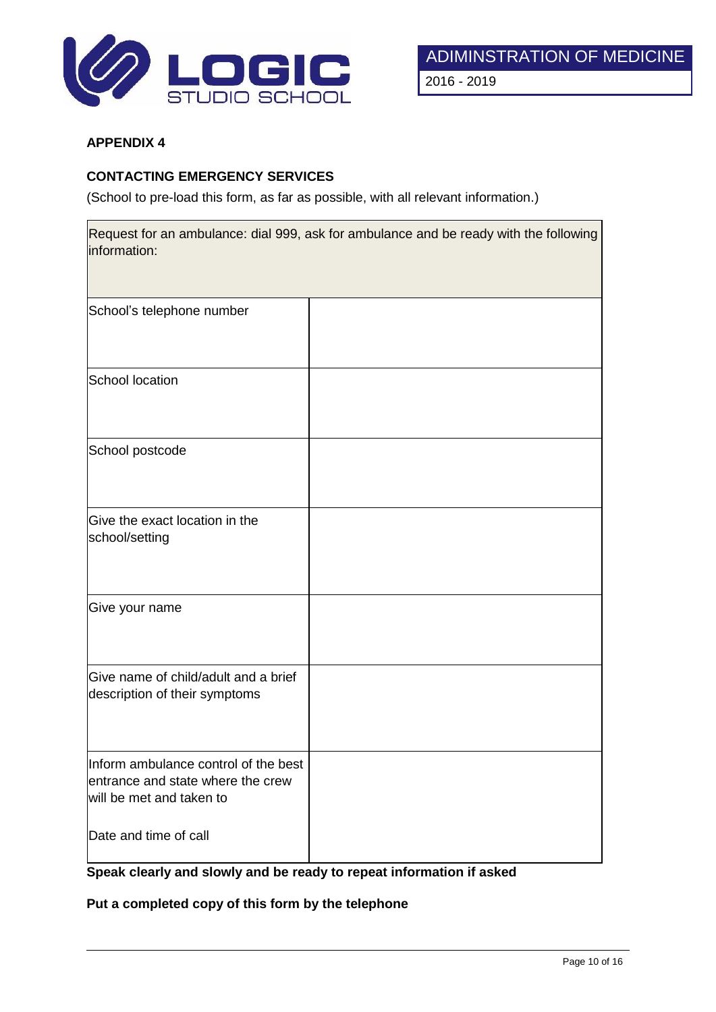

# **CONTACTING EMERGENCY SERVICES**

(School to pre-load this form, as far as possible, with all relevant information.)

| information:                                                                                          | Request for an ambulance: dial 999, ask for ambulance and be ready with the following |
|-------------------------------------------------------------------------------------------------------|---------------------------------------------------------------------------------------|
| School's telephone number                                                                             |                                                                                       |
| School location                                                                                       |                                                                                       |
| School postcode                                                                                       |                                                                                       |
| Give the exact location in the<br>school/setting                                                      |                                                                                       |
| Give your name                                                                                        |                                                                                       |
| Give name of child/adult and a brief<br>description of their symptoms                                 |                                                                                       |
| Inform ambulance control of the best<br>entrance and state where the crew<br>will be met and taken to |                                                                                       |
| Date and time of call                                                                                 |                                                                                       |

# **Speak clearly and slowly and be ready to repeat information if asked**

**Put a completed copy of this form by the telephone**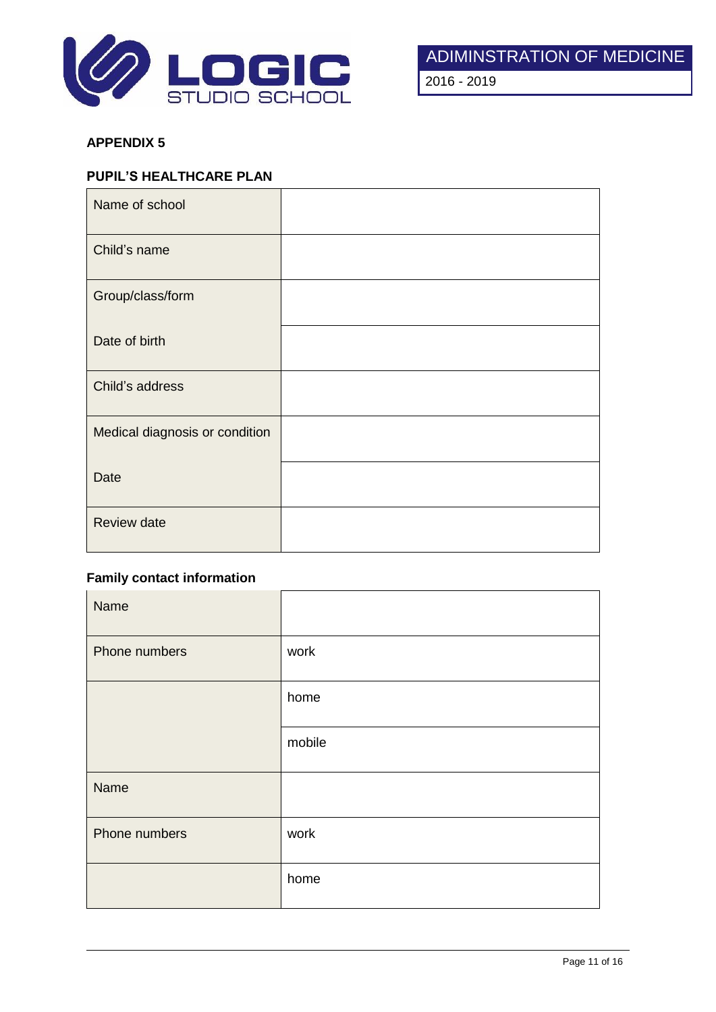

2016 - 2019

# **APPENDIX 5**

## **PUPIL'S HEALTHCARE PLAN**

| Name of school                 |  |
|--------------------------------|--|
| Child's name                   |  |
| Group/class/form               |  |
| Date of birth                  |  |
| Child's address                |  |
| Medical diagnosis or condition |  |
| Date                           |  |
| <b>Review date</b>             |  |

# **Family contact information**

| Name          |        |
|---------------|--------|
| Phone numbers | work   |
|               | home   |
|               | mobile |
| Name          |        |
| Phone numbers | work   |
|               | home   |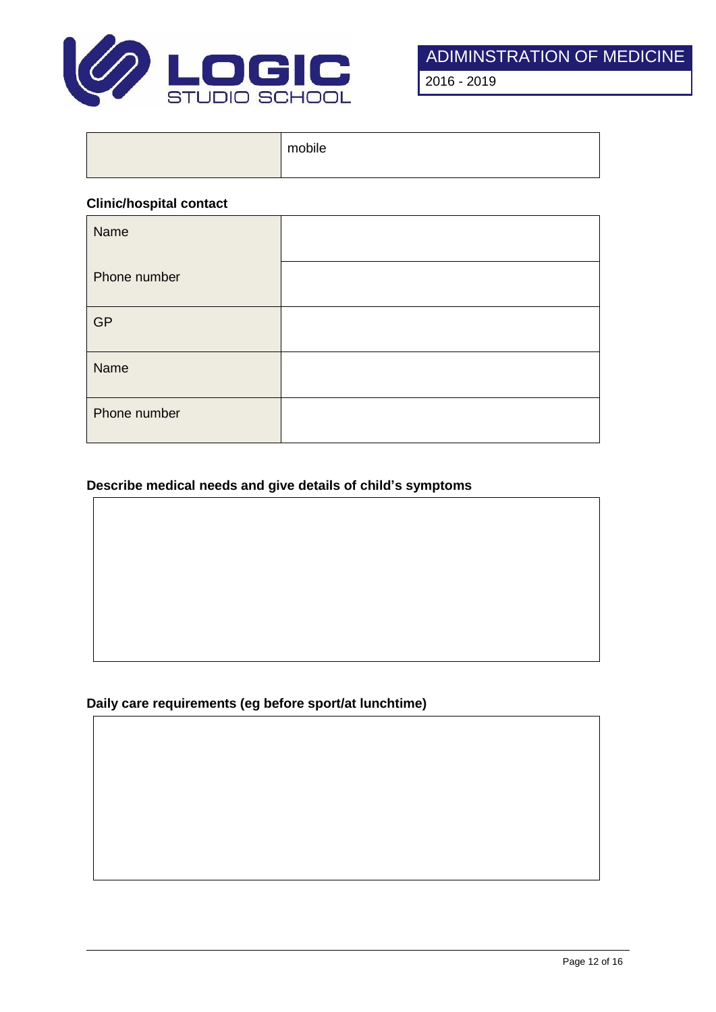

2016 - 2019

| mobile |
|--------|
|        |

#### **Clinic/hospital contact**

| Name         |  |
|--------------|--|
| Phone number |  |
| GP           |  |
| Name         |  |
| Phone number |  |

# **Describe medical needs and give details of child's symptoms**

# **Daily care requirements (eg before sport/at lunchtime)**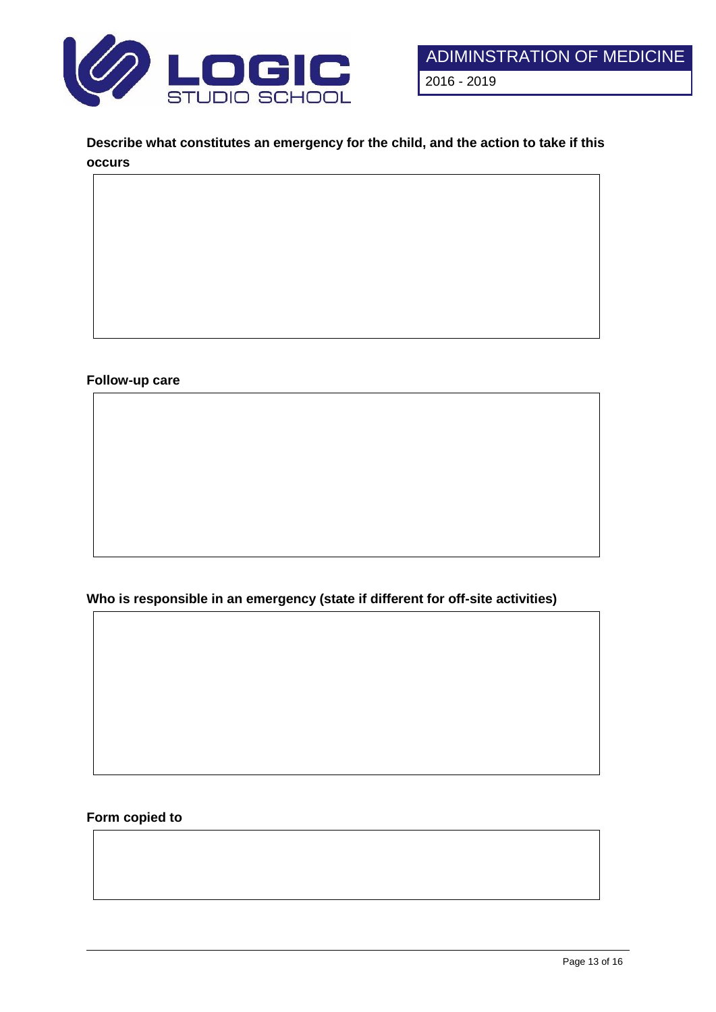

**Describe what constitutes an emergency for the child, and the action to take if this occurs**

# **Follow-up care**

**Who is responsible in an emergency (state if different for off-site activities)**

### **Form copied to**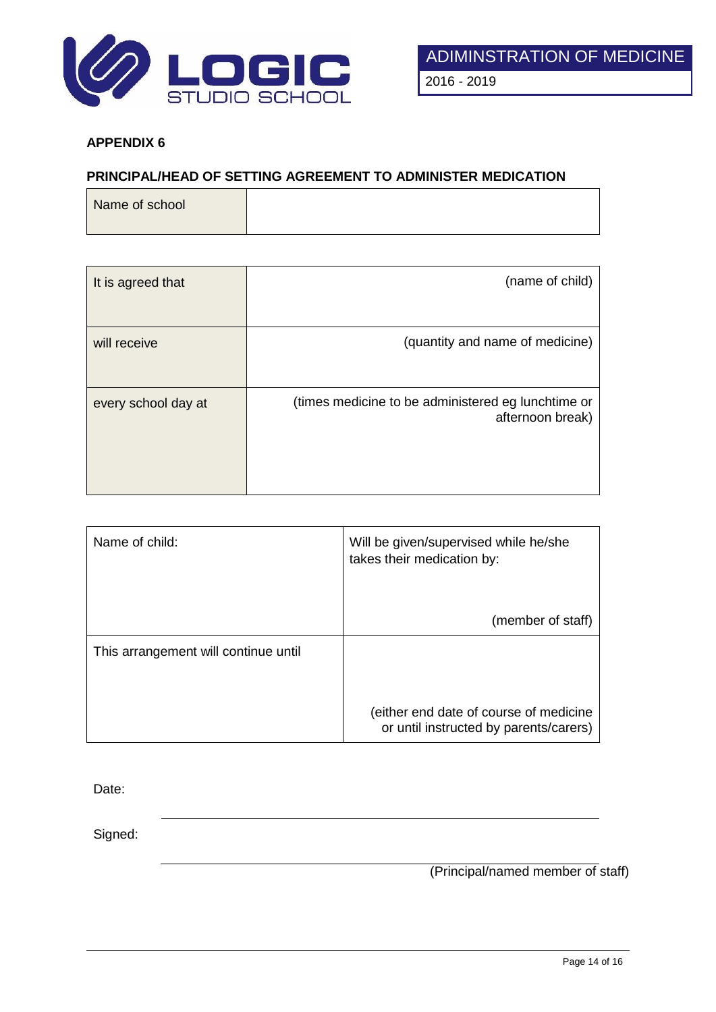

## **PRINCIPAL/HEAD OF SETTING AGREEMENT TO ADMINISTER MEDICATION**

| Name of school |  |  |  |
|----------------|--|--|--|
|                |  |  |  |

| It is agreed that   | (name of child)                                                        |
|---------------------|------------------------------------------------------------------------|
| will receive        | (quantity and name of medicine)                                        |
| every school day at | (times medicine to be administered eg lunchtime or<br>afternoon break) |

| Name of child:                       | Will be given/supervised while he/she<br>takes their medication by:              |
|--------------------------------------|----------------------------------------------------------------------------------|
|                                      | (member of staff)                                                                |
| This arrangement will continue until |                                                                                  |
|                                      |                                                                                  |
|                                      | (either end date of course of medicine<br>or until instructed by parents/carers) |

Date:

Signed:

(Principal/named member of staff)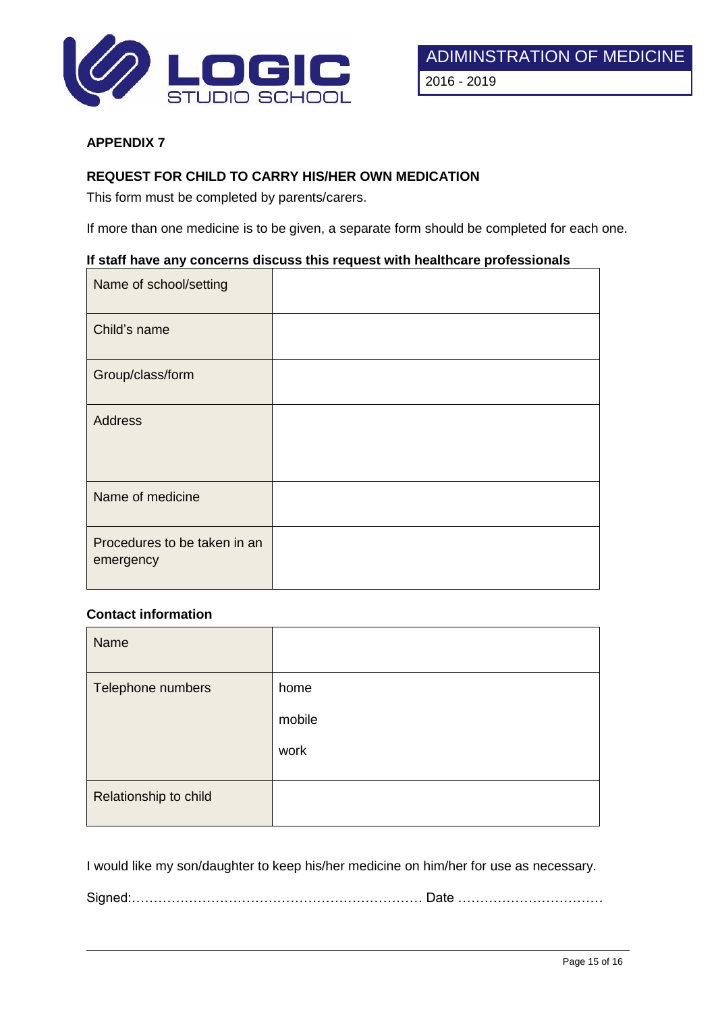

## **REQUEST FOR CHILD TO CARRY HIS/HER OWN MEDICATION**

This form must be completed by parents/carers.

If more than one medicine is to be given, a separate form should be completed for each one.

#### **If staff have any concerns discuss this request with healthcare professionals**

| Name of school/setting                    |  |
|-------------------------------------------|--|
| Child's name                              |  |
| Group/class/form                          |  |
| <b>Address</b>                            |  |
| Name of medicine                          |  |
| Procedures to be taken in an<br>emergency |  |

## **Contact information**

| Name                  |        |
|-----------------------|--------|
| Telephone numbers     | home   |
|                       | mobile |
|                       | work   |
| Relationship to child |        |
|                       |        |

I would like my son/daughter to keep his/her medicine on him/her for use as necessary.

Signed:………………………………………………………… Date ……………………………